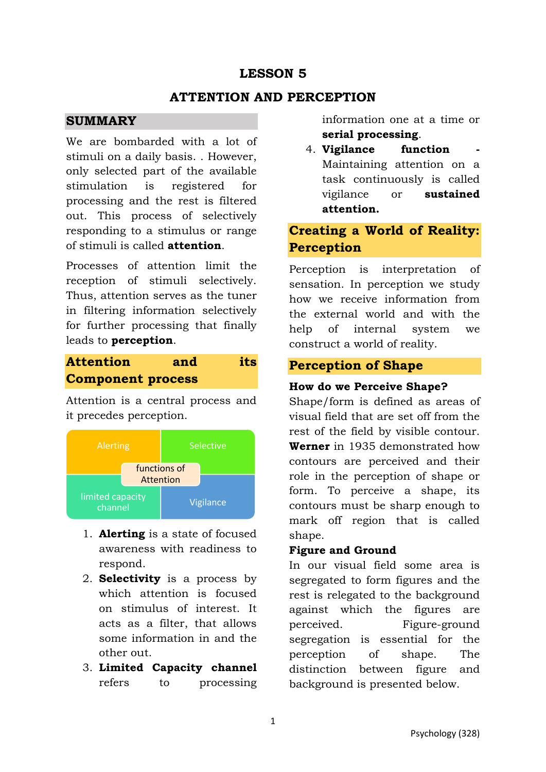## **LESSON 5**

## **ATTENTION AND PERCEPTION**

### **SUMMARY**

We are bombarded with a lot of stimuli on a daily basis. . However, only selected part of the available stimulation is registered for processing and the rest is filtered out. This process of selectively responding to a stimulus or range of stimuli is called **attention**.

Processes of attention limit the reception of stimuli selectively. Thus, attention serves as the tuner in filtering information selectively for further processing that finally leads to **perception**.

# **Attention and its Component process**

Attention is a central process and it precedes perception.



- 1. **Alerting** is a state of focused awareness with readiness to respond.
- 2. **Selectivity** is a process by which attention is focused on stimulus of interest. It acts as a filter, that allows some information in and the other out.
- 3. **Limited Capacity channel** refers to processing

information one at a time or **serial processing**.

4. **Vigilance** function Maintaining attention on a task continuously is called vigilance or **sustained attention.**

# **Creating a World of Reality: Perception**

Perception is interpretation of sensation. In perception we study how we receive information from the external world and with the help of internal system we construct a world of reality.

### **Perception of Shape**

#### **How do we Perceive Shape?**

Shape/form is defined as areas of visual field that are set off from the rest of the field by visible contour. **Werner** in 1935 demonstrated how contours are perceived and their role in the perception of shape or form. To perceive a shape, its contours must be sharp enough to mark off region that is called shape.

#### **Figure and Ground**

In our visual field some area is segregated to form figures and the rest is relegated to the background against which the figures are perceived. Figure-ground segregation is essential for the perception of shape. The distinction between figure and background is presented below.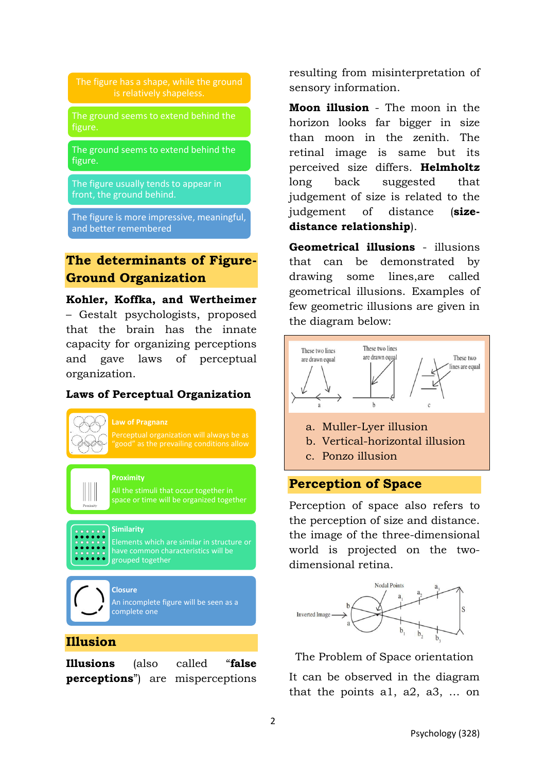The ground seems to extend behind the

The ground seems to extend behind the figure.

The figure usually tends to appear in front, the ground behind.

The figure is more impressive, meaningful, and better remembered

## **The determinants of Figure-Ground Organization**

**Kohler, Koffka, and Wertheimer** – Gestalt psychologists, proposed that the brain has the innate capacity for organizing perceptions and gave laws of perceptual organization.

#### **Laws of Perceptual Organization**



All the stimuli that occur together in space or time will be organized together

**Similarity** 

Elements which are similar in structure or have common characteristics will be grouped together

**Closure**  An incomplete figure will be seen as a complete one

#### **Illusion**

 $\mathbb{H}$ 

**Illusions** (also called "**false perceptions**") are misperceptions resulting from misinterpretation of sensory information.

**Moon illusion** - The moon in the horizon looks far bigger in size than moon in the zenith. The retinal image is same but its perceived size differs. **Helmholtz** long back suggested that judgement of size is related to the judgement of distance (**sizedistance relationship**).

**Geometrical illusions** - illusions that can be demonstrated by drawing some lines,are called geometrical illusions. Examples of few geometric illusions are given in the diagram below:



- a. Muller-Lyer illusion
- b. Vertical-horizontal illusion
- c. Ponzo illusion

#### **Perception of Space**

Perception of space also refers to the perception of size and distance. the image of the three-dimensional world is projected on the twodimensional retina.



The Problem of Space orientation

It can be observed in the diagram that the points a1, a2, a3, … on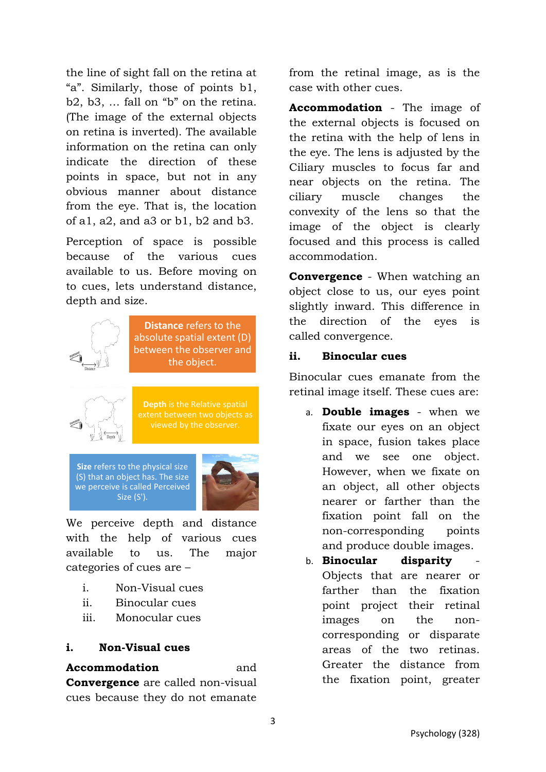the line of sight fall on the retina at "a". Similarly, those of points b1, b2, b3, … fall on "b" on the retina. (The image of the external objects on retina is inverted). The available information on the retina can only indicate the direction of these points in space, but not in any obvious manner about distance from the eye. That is, the location of a1, a2, and a3 or b1, b2 and b3.

Perception of space is possible because of the various cues available to us. Before moving on to cues, lets understand distance, depth and size.



**Distance** refers to the absolute spatial extent (D) between the observer and the object.



**Depth** is the Relative spatial extent between two objects as

**Size** refers to the physical size (S) that an object has. The size we perceive is called Perceived Size (S').



We perceive depth and distance with the help of various cues available to us. The major categories of cues are –

- i. Non-Visual cues
- ii. Binocular cues
- iii. Monocular cues

### **i. Non-Visual cues**

**Accommodation** and **Convergence** are called non-visual cues because they do not emanate

from the retinal image, as is the case with other cues.

**Accommodation** - The image of the external objects is focused on the retina with the help of lens in the eye. The lens is adjusted by the Ciliary muscles to focus far and near objects on the retina. The ciliary muscle changes the convexity of the lens so that the image of the object is clearly focused and this process is called accommodation.

**Convergence** - When watching an object close to us, our eyes point slightly inward. This difference in the direction of the eyes is called convergence.

#### **ii. Binocular cues**

Binocular cues emanate from the retinal image itself. These cues are:

- a. **Double images** when we fixate our eyes on an object in space, fusion takes place and we see one object. However, when we fixate on an object, all other objects nearer or farther than the fixation point fall on the non-corresponding points and produce double images.
- b. **Binocular** disparity Objects that are nearer or farther than the fixation point project their retinal images on the noncorresponding or disparate areas of the two retinas. Greater the distance from the fixation point, greater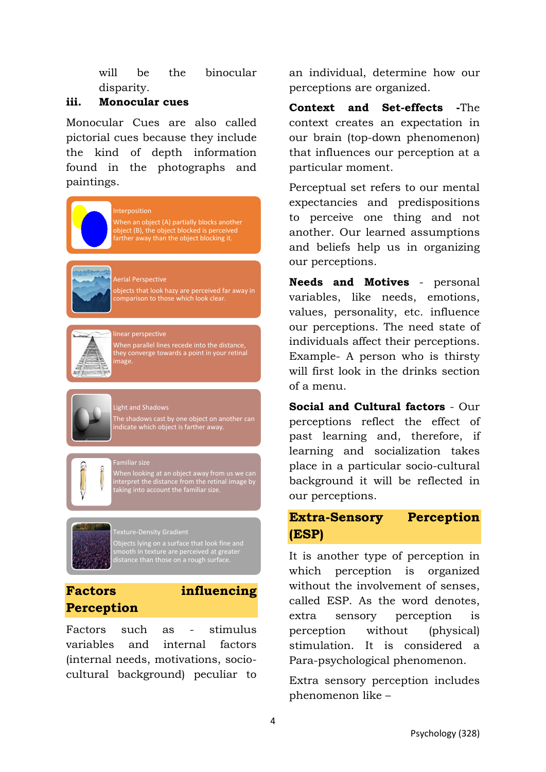will be the binocular disparity.

#### **iii. Monocular cues**

Monocular Cues are also called pictorial cues because they include the kind of depth information found in the photographs and paintings.

#### nterposition

When an object (A) partially blocks another object (B), the object blocked is perceived farther away than the object blocking it.

#### Aerial Perspective

objects that look hazy are perceived far away in comparison to those which look clear.



When parallel lines recede into the distance, they converge towards a point in your retinal mage.

#### Light and Shadows

\_\_<br>Familiar size

The shadows cast by one object on another can indicate which object is farther away.

When looking at an object away from us we can interpret the distance from the retinal image by there is the account the familiar size.<br>taking into account the familiar size.

# exture-Density Gradient

Objects lying on a surface that look fine and smooth in texture are perceived at greater distance than those on a rough surface.

## **Factors influencing Perception**



Factors such as - stimulus variables and internal factors (internal needs, motivations, sociocultural background) peculiar to an individual, determine how our perceptions are organized.

**Context and Set-effects -**The context creates an expectation in our brain (top-down phenomenon) that influences our perception at a particular moment.

Perceptual set refers to our mental expectancies and predispositions to perceive one thing and not another. Our learned assumptions and beliefs help us in organizing our perceptions.

**Needs and Motives** - personal variables, like needs, emotions, values, personality, etc. influence our perceptions. The need state of individuals affect their perceptions. Example- A person who is thirsty will first look in the drinks section of a menu.

**Social and Cultural factors** - Our perceptions reflect the effect of past learning and, therefore, if learning and socialization takes place in a particular socio-cultural background it will be reflected in our perceptions.

## **Extra-Sensory Perception (ESP)**

It is another type of perception in which perception is organized without the involvement of senses, called ESP. As the word denotes, extra sensory perception is perception without (physical) stimulation. It is considered a Para-psychological phenomenon.

Extra sensory perception includes phenomenon like –